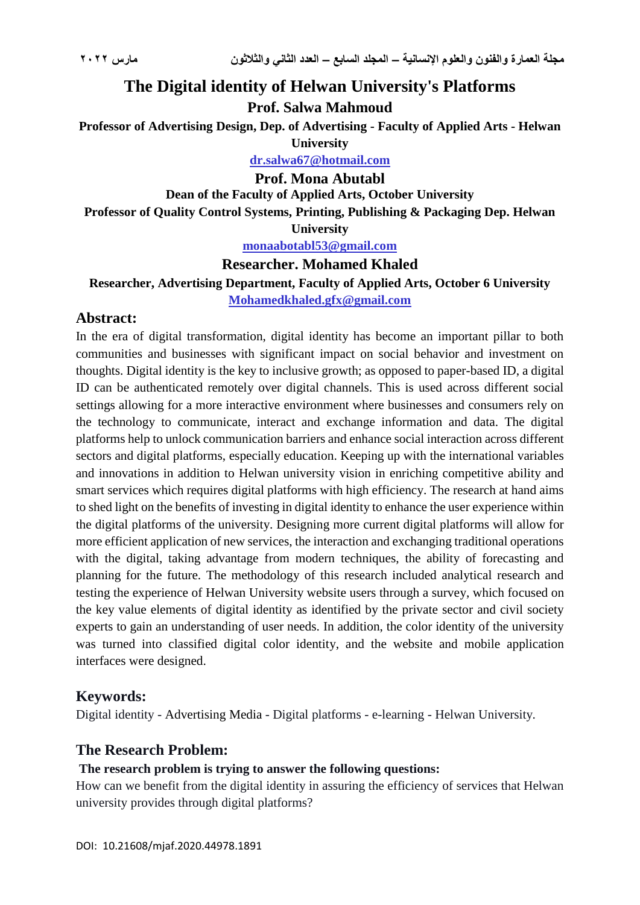# **The Digital identity of Helwan University's Platforms**

**Prof. Salwa Mahmoud** 

**Professor of Advertising Design, Dep. of Advertising - Faculty of Applied Arts - Helwan University**

**dr.salwa67@hotmail.com**

#### **Prof. Mona Abutabl**

**Dean of the Faculty of Applied Arts, October University**

**Professor of Quality Control Systems, Printing, Publishing & Packaging Dep. Helwan** 

**University**

**monaabotabl53@gmail.com**

# **Researcher. Mohamed Khaled**

**Researcher, Advertising Department, Faculty of Applied Arts, October 6 University**

**Mohamedkhaled.gfx@gmail.com**

# **Abstract:**

In the era of digital transformation, digital identity has become an important pillar to both communities and businesses with significant impact on social behavior and investment on thoughts. Digital identity is the key to inclusive growth; as opposed to paper-based ID, a digital ID can be authenticated remotely over digital channels. This is used across different social settings allowing for a more interactive environment where businesses and consumers rely on the technology to communicate, interact and exchange information and data. The digital platforms help to unlock communication barriers and enhance social interaction across different sectors and digital platforms, especially education. Keeping up with the international variables and innovations in addition to Helwan university vision in enriching competitive ability and smart services which requires digital platforms with high efficiency. The research at hand aims to shed light on the benefits of investing in digital identity to enhance the user experience within the digital platforms of the university. Designing more current digital platforms will allow for more efficient application of new services, the interaction and exchanging traditional operations with the digital, taking advantage from modern techniques, the ability of forecasting and planning for the future. The methodology of this research included analytical research and testing the experience of Helwan University website users through a survey, which focused on the key value elements of digital identity as identified by the private sector and civil society experts to gain an understanding of user needs. In addition, the color identity of the university was turned into classified digital color identity, and the website and mobile application interfaces were designed.

# **Keywords:**

Digital identity - Advertising Media - Digital platforms - e-learning - Helwan University.

# **The Research Problem:**

# **The research problem is trying to answer the following questions:**

How can we benefit from the digital identity in assuring the efficiency of services that Helwan university provides through digital platforms?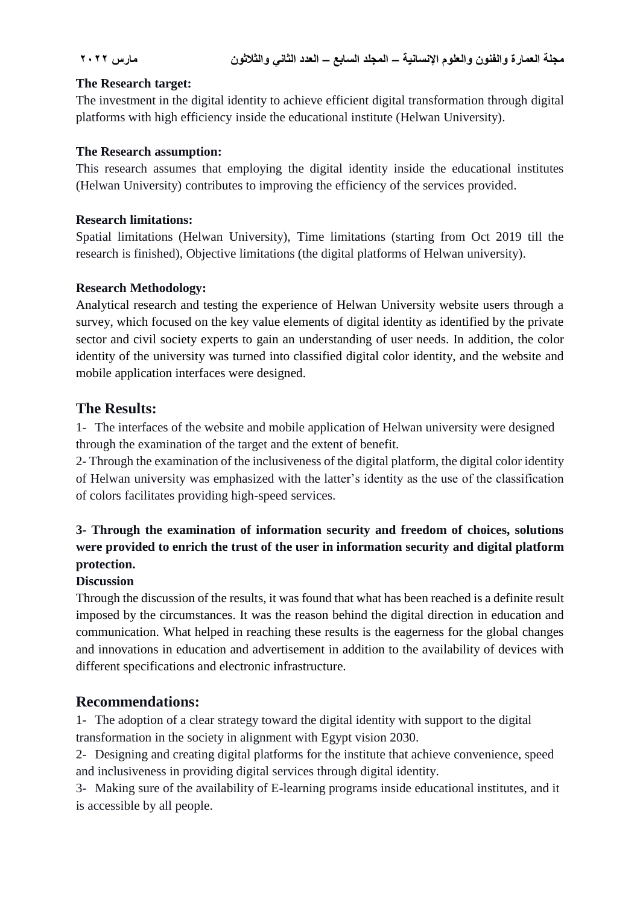#### **The Research target:**

The investment in the digital identity to achieve efficient digital transformation through digital platforms with high efficiency inside the educational institute (Helwan University).

#### **The Research assumption:**

This research assumes that employing the digital identity inside the educational institutes (Helwan University) contributes to improving the efficiency of the services provided.

#### **Research limitations:**

Spatial limitations (Helwan University), Time limitations (starting from Oct 2019 till the research is finished), Objective limitations (the digital platforms of Helwan university).

# **Research Methodology:**

Analytical research and testing the experience of Helwan University website users through a survey, which focused on the key value elements of digital identity as identified by the private sector and civil society experts to gain an understanding of user needs. In addition, the color identity of the university was turned into classified digital color identity, and the website and mobile application interfaces were designed.

# **The Results:**

1- The interfaces of the website and mobile application of Helwan university were designed through the examination of the target and the extent of benefit.

2- Through the examination of the inclusiveness of the digital platform, the digital color identity of Helwan university was emphasized with the latter's identity as the use of the classification of colors facilitates providing high-speed services.

# **3- Through the examination of information security and freedom of choices, solutions were provided to enrich the trust of the user in information security and digital platform protection.**

# **Discussion**

Through the discussion of the results, it was found that what has been reached is a definite result imposed by the circumstances. It was the reason behind the digital direction in education and communication. What helped in reaching these results is the eagerness for the global changes and innovations in education and advertisement in addition to the availability of devices with different specifications and electronic infrastructure.

# **Recommendations:**

1- The adoption of a clear strategy toward the digital identity with support to the digital transformation in the society in alignment with Egypt vision 2030.

2- Designing and creating digital platforms for the institute that achieve convenience, speed and inclusiveness in providing digital services through digital identity.

3- Making sure of the availability of E-learning programs inside educational institutes, and it is accessible by all people.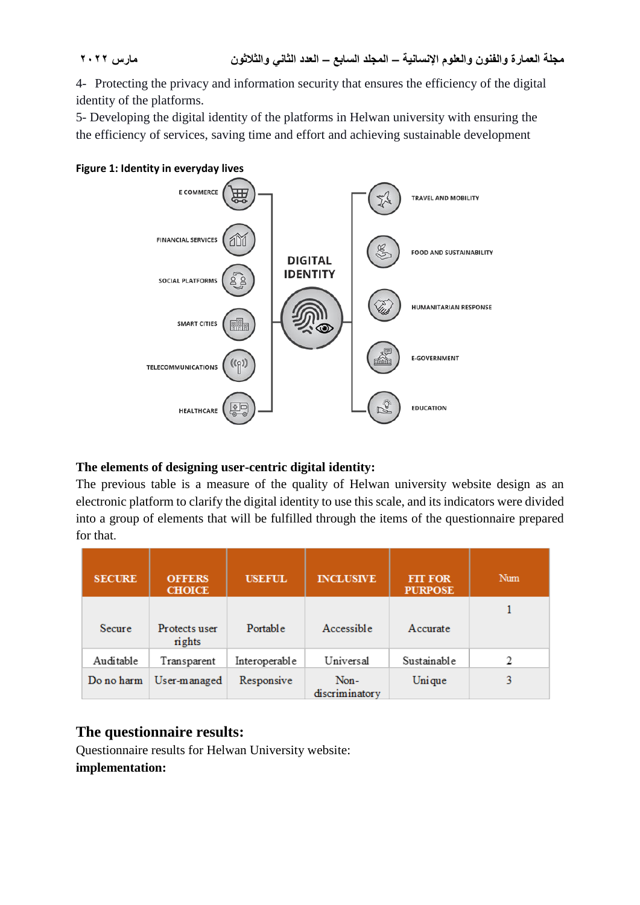4- Protecting the privacy and information security that ensures the efficiency of the digital identity of the platforms.

5- Developing the digital identity of the platforms in Helwan university with ensuring the the efficiency of services, saving time and effort and achieving sustainable development



# **The elements of designing user-centric digital identity:**

The previous table is a measure of the quality of Helwan university website design as an electronic platform to clarify the digital identity to use this scale, and its indicators were divided into a group of elements that will be fulfilled through the items of the questionnaire prepared for that.

| <b>SECURE</b> | <b>OFFERS</b><br><b>CHOICE</b> | <b>USEFUL</b> | <b>INCLUSIVE</b>       | <b>FIT FOR</b><br><b>PURPOSE</b> | Num |
|---------------|--------------------------------|---------------|------------------------|----------------------------------|-----|
| Secure        | Protects user<br>rights        | Portable      | Accessible             | Accurate                         |     |
| Auditable     | Transparent                    | Interoperable | Universal              | Sustainable                      | 2   |
| Do no harm    | User-managed                   | Responsive    | Non-<br>discriminatory | Unique                           | 3   |

# **The questionnaire results:**

Questionnaire results for Helwan University website: **implementation:**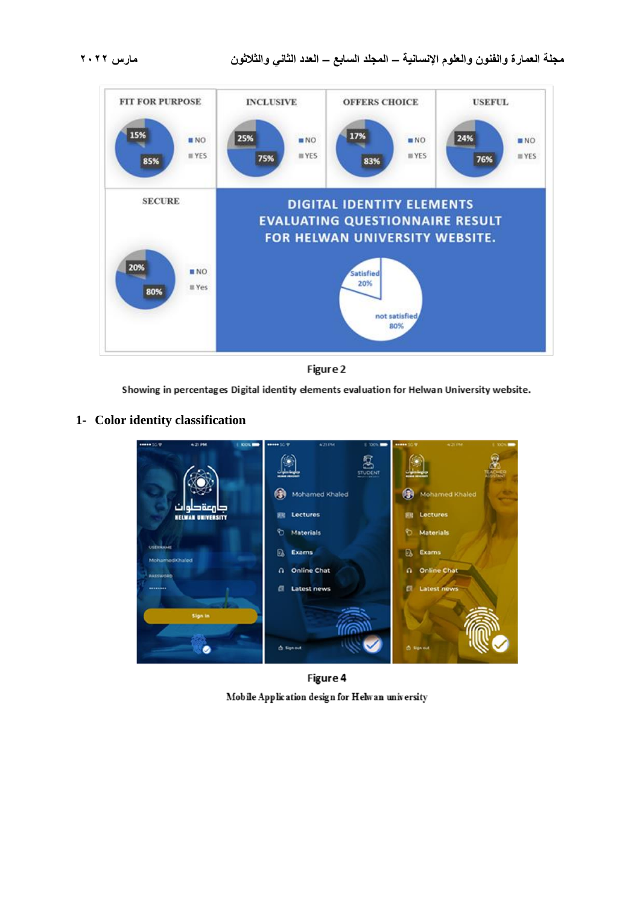



Showing in percentages Digital identity elements evaluation for Helwan University website.

#### **1- Color identity classification**



Figure 4 Mobile Application design for Helwan university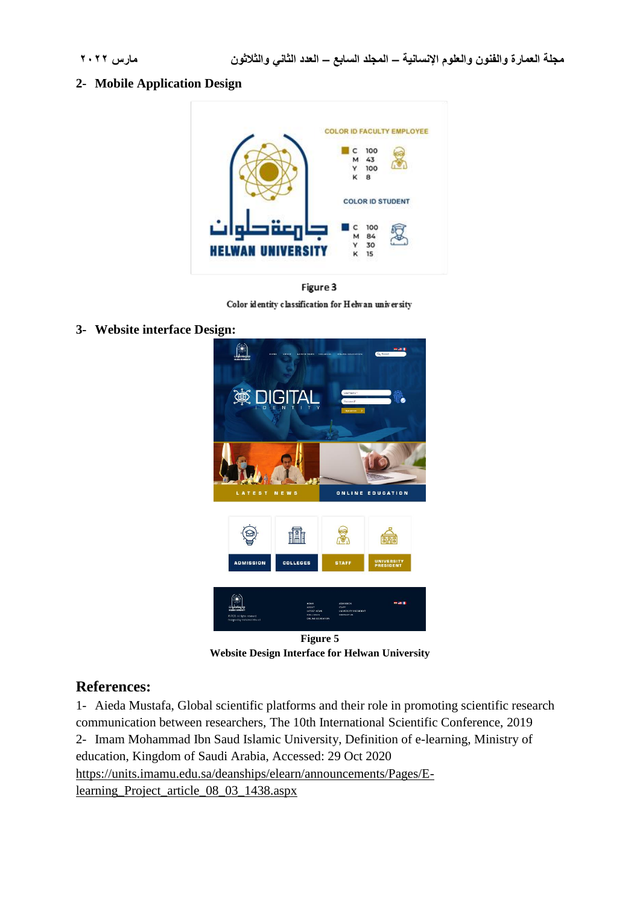#### **2- Mobile Application Design**





Color identity classification for Helwan university

**3- Website interface Design:**



**Website Design Interface for Helwan University**

# **References:**

1- Aieda Mustafa, Global scientific platforms and their role in promoting scientific research communication between researchers, The 10th International Scientific Conference, 2019 2- Imam Mohammad Ibn Saud Islamic University, Definition of e-learning, Ministry of education, Kingdom of Saudi Arabia, Accessed: 29 Oct 2020 https://units.imamu.edu.sa/deanships/elearn/announcements/Pages/Elearning\_Project\_article\_08\_03\_1438.aspx